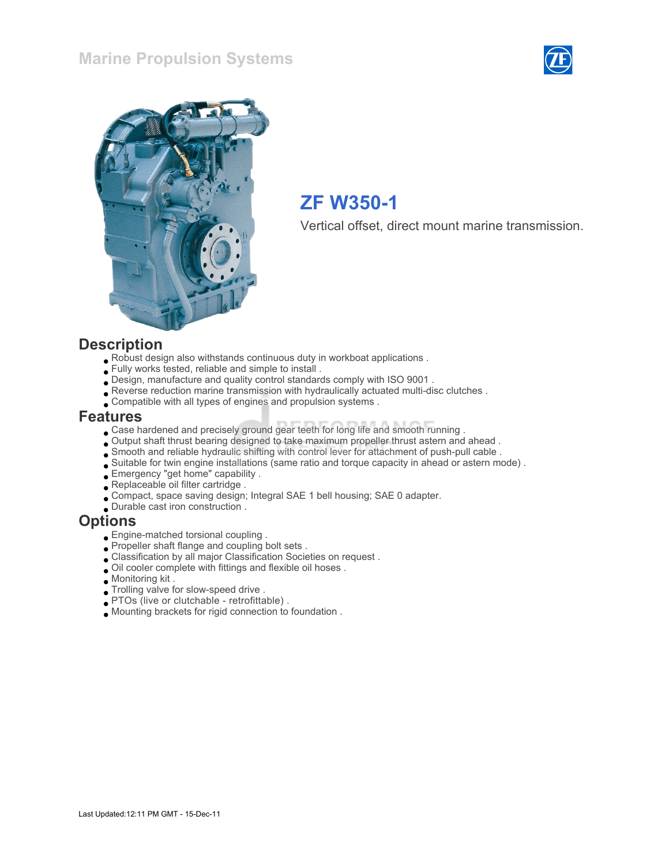#### Marine Propulsion Systems





# ZF W350-1

Vertical offset, direct mount marine transmission.

#### **Description**

- Robust design also withstands continuous duty in workboat applications .
- Fully works tested, reliable and simple to install .
- Design, manufacture and quality control standards comply with ISO 9001 .
- Reverse reduction marine transmission with hydraulically actuated multi-disc clutches .
- Compatible with all types of engines and propulsion systems .

#### Features

- Case hardened and precisely ground gear teeth for long life and smooth running .
- Output shaft thrust bearing designed to take maximum propeller thrust astern and ahead .
- Smooth and reliable hydraulic shifting with control lever for attachment of push-pull cable .
- Suitable for twin engine installations (same ratio and torque capacity in ahead or astern mode) .
- Emergency "get home" capability .
- Replaceable oil filter cartridge .
- Compact, space saving design; Integral SAE 1 bell housing; SAE 0 adapter.
- Durable cast iron construction .

#### **Options**

- Engine-matched torsional coupling .
- Propeller shaft flange and coupling bolt sets .
- Classification by all major Classification Societies on request .
- Oil cooler complete with fittings and flexible oil hoses .
- Monitoring kit .
- Trolling valve for slow-speed drive .
- PTOs (live or clutchable retrofittable) .
- Mounting brackets for rigid connection to foundation .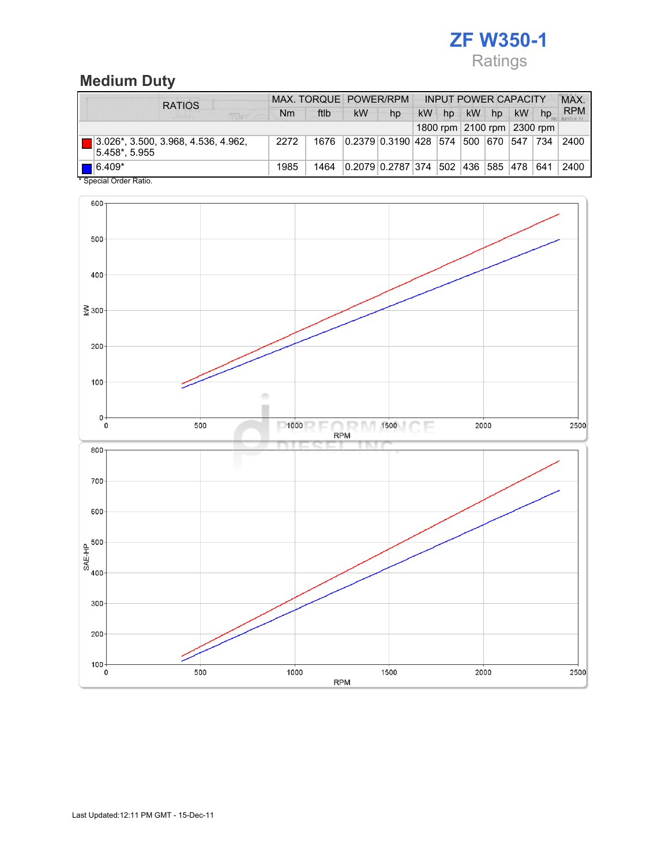# ZF W350-1 Ratings

## Medium Duty

| <b>RATIOS</b>                                        |      |      | MAX. TORQUE POWER/RPM |                                       | <b>INPUT POWER CAPACITY</b> |    |    |    |           |                            | <b>MAX</b> |
|------------------------------------------------------|------|------|-----------------------|---------------------------------------|-----------------------------|----|----|----|-----------|----------------------------|------------|
|                                                      | Nm   | ftlb | kW                    | hp                                    | kW                          | hp | kW | hp | <b>kW</b> | hp                         | <b>RPM</b> |
|                                                      |      |      |                       |                                       |                             |    |    |    |           | 1800 rpm 2100 rpm 2300 rpm |            |
| 3.026*, 3.500, 3.968, 4.536, 4.962,<br>5.458*. 5.955 | 2272 | 1676 |                       | 0.2379 0.3190 428 574 500 670 547 734 |                             |    |    |    |           |                            | 2400       |
| $\blacksquare$ 6.409*                                | 1985 | 1464 |                       | 0.2079 0.2787 374  502  436  585  478 |                             |    |    |    |           | 641                        | 2400       |
| * Special Order Ratio.                               |      |      |                       |                                       |                             |    |    |    |           |                            |            |

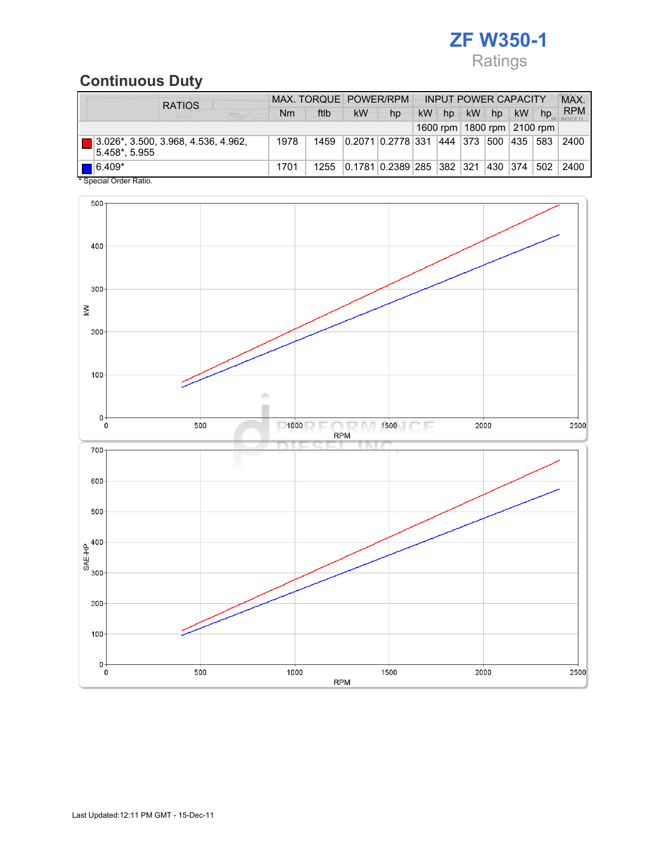# ZF W350-1 Ratings

## Continuous Duty

| <b>RATIOS</b>                                        |      |      | MAX. TORQUE POWER/RPM |                                   | <b>INPUT POWER CAPACITY</b> |    |           |          |                                |     | <b>MAX</b> |
|------------------------------------------------------|------|------|-----------------------|-----------------------------------|-----------------------------|----|-----------|----------|--------------------------------|-----|------------|
| <b>REAGE</b>                                         | Nm   | ftlb | kW                    | hp                                | kW                          | hp | <b>kW</b> | hp       | kW                             | hp  | <b>RPM</b> |
|                                                      |      |      |                       |                                   |                             |    |           |          | 1600 rpm   1800 rpm   2100 rpm |     |            |
| 3.026*, 3.500, 3.968, 4.536, 4.962,<br>5.458*, 5.955 | 1978 | 1459 |                       | 0.2071   0.2778   331   444   373 |                             |    |           | 500      | 435                            | 583 | 2400       |
| $6.409*$                                             | 1701 | 1255 |                       | 0.1781  0.2389   285   382   321  |                             |    |           | 430  374 |                                | 502 | 2400       |
| * Special Order Ratio.                               |      |      |                       |                                   |                             |    |           |          |                                |     |            |

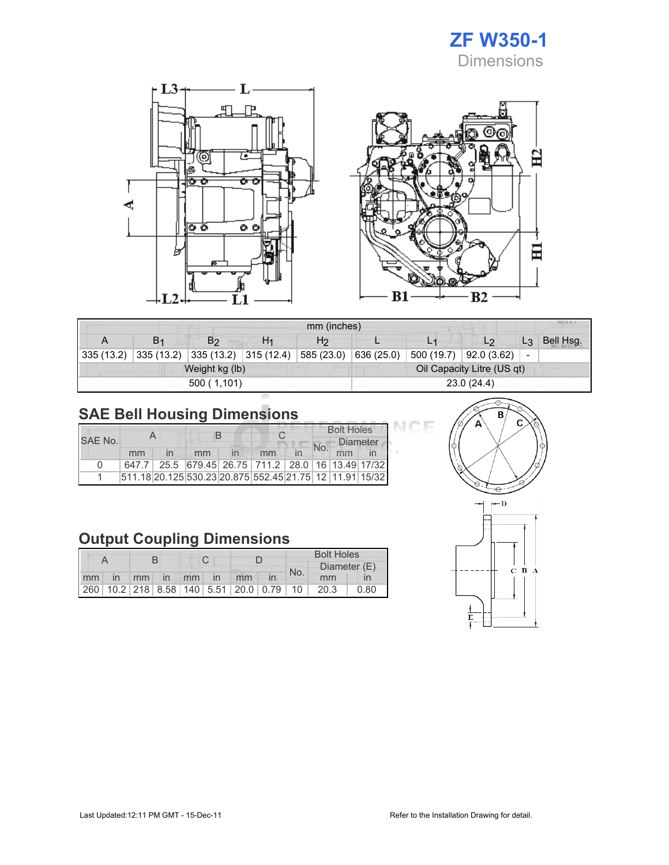

 $\Xi$ 

日



| <b>MILLA</b><br>mm (inches) |                |                        |                |                            |            |            |            |                          |           |  |  |  |
|-----------------------------|----------------|------------------------|----------------|----------------------------|------------|------------|------------|--------------------------|-----------|--|--|--|
| A                           | B <sub>1</sub> | B <sub>2</sub>         | H <sub>1</sub> | H <sub>2</sub>             |            | L1         |            | L3                       | Bell Hsg. |  |  |  |
| 335(13.2)                   | 335(13.2)      | $335(13.2)$ 315 (12.4) |                | 585 (23.0)                 | 636 (25.0) | 500 (19.7) | 92.0(3.62) | $\overline{\phantom{a}}$ |           |  |  |  |
|                             |                | Weight kg (lb)         |                | Oil Capacity Litre (US qt) |            |            |            |                          |           |  |  |  |
|                             |                | 500(1,101)             |                | 23.0 (24.4)                |            |            |            |                          |           |  |  |  |

# SAE Bell Housing Dimensions

|          |    |              | В                                                       |  |    |  | <b>Bolt Holes</b> |                 |  |  |
|----------|----|--------------|---------------------------------------------------------|--|----|--|-------------------|-----------------|--|--|
| SAF No.  |    |              |                                                         |  |    |  | No.               | <b>Diameter</b> |  |  |
|          | mm | $\mathsf{I}$ | mm                                                      |  | mm |  |                   | mm              |  |  |
| $\Omega$ |    |              | 647.7 25.5 679.45 26.75 711.2 28.0 16 13.49 17/32       |  |    |  |                   |                 |  |  |
|          |    |              | 511.18 20.125 530.23 20.875 552.45 21.75 12 11.91 15/32 |  |    |  |                   |                 |  |  |

## Output Coupling Dimensions

|  |  |  |  |  |  |                         | <b>Bolt Holes</b> |     |                                              |              |  |
|--|--|--|--|--|--|-------------------------|-------------------|-----|----------------------------------------------|--------------|--|
|  |  |  |  |  |  |                         |                   | No. |                                              | Diameter (E) |  |
|  |  |  |  |  |  | mm in mm in mm in mm in |                   |     | mm                                           |              |  |
|  |  |  |  |  |  |                         |                   |     | 260 10.2 218 8.58 140 5.51 20.0 0.79 10 20.3 | 0.80         |  |



эF